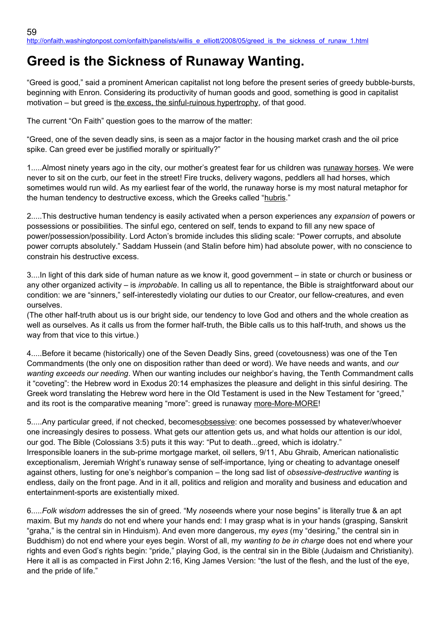## **Greed is the Sickness of Runaway Wanting.**

"Greed is good," said a prominent American capitalist not long before the present series of greedy bubble-bursts, beginning with Enron. Considering its productivity of human goods and good, something is good in capitalist motivation – but greed is the excess, the sinful-ruinous hypertrophy, of that good.

The current "On Faith" question goes to the marrow of the matter:

"Greed, one of the seven deadly sins, is seen as a major factor in the housing market crash and the oil price spike. Can greed ever be justified morally or spiritually?"

1.....Almost ninety years ago in the city, our mother's greatest fear for us children was runaway horses. We were never to sit on the curb, our feet in the street! Fire trucks, delivery wagons, peddlers all had horses, which sometimes would run wild. As my earliest fear of the world, the runaway horse is my most natural metaphor for the human tendency to destructive excess, which the Greeks called "hubris."

2.....This destructive human tendency is easily activated when a person experiences any *expansion* of powers or possessions or possibilities. The sinful ego, centered on self, tends to expand to fill any new space of power/possession/possibility. Lord Acton's bromide includes this sliding scale: "Power corrupts, and absolute power corrupts absolutely." Saddam Hussein (and Stalin before him) had absolute power, with no conscience to constrain his destructive excess.

3....In light of this dark side of human nature as we know it, good government – in state or church or business or any other organized activity – is *improbable*. In calling us all to repentance, the Bible is straightforward about our condition: we are "sinners," self-interestedly violating our duties to our Creator, our fellow-creatures, and even ourselves.

(The other half-truth about us is our bright side, our tendency to love God and others and the whole creation as well as ourselves. As it calls us from the former half-truth, the Bible calls us to this half-truth, and shows us the way from that vice to this virtue.)

4.....Before it became (historically) one of the Seven Deadly Sins, greed (covetousness) was one of the Ten Commandments (the only one on disposition rather than deed or word). We have needs and wants, and *our wanting exceeds our needing*. When our wanting includes our neighbor's having, the Tenth Commandment calls it "coveting": the Hebrew word in Exodus 20:14 emphasizes the pleasure and delight in this sinful desiring. The Greek word translating the Hebrew word here in the Old Testament is used in the New Testament for "greed," and its root is the comparative meaning "more": greed is runaway more-More-MORE!

5.....Any particular greed, if not checked, becomes obsessive: one becomes possessed by whatever/whoever one increasingly desires to possess. What gets our attention gets us, and what holds our attention is our idol, our god. The Bible (Colossians 3:5) puts it this way: "Put to death...greed, which is idolatry." Irresponsible loaners in the sub-prime mortgage market, oil sellers, 9/11, Abu Ghraib, American nationalistic exceptionalism, Jeremiah Wright's runaway sense of self-importance, lying or cheating to advantage oneself against others, lusting for one's neighbor's companion – the long sad list of *obsessive-destructive wanting* is endless, daily on the front page. And in it all, politics and religion and morality and business and education and entertainment-sports are existentially mixed.

6.....*Folk wisdom* addresses the sin of greed. "My *nose*ends where your nose begins" is literally true & an apt maxim. But my *hands* do not end where your hands end: I may grasp what is in your hands (grasping, Sanskrit "graha," is the central sin in Hinduism). And even more dangerous, my *eyes* (my "desiring," the central sin in Buddhism) do not end where your eyes begin. Worst of all, my *wanting to be in charge* does not end where your rights and even God's rights begin: "pride," playing God, is the central sin in the Bible (Judaism and Christianity). Here it all is as compacted in First John 2:16, King James Version: "the lust of the flesh, and the lust of the eye, and the pride of life."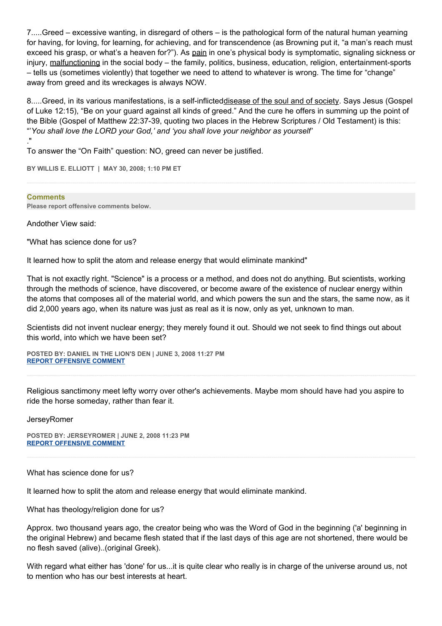7.....Greed – excessive wanting, in disregard of others – is the pathological form of the natural human yearning for having, for loving, for learning, for achieving, and for transcendence (as Browning put it, "a man's reach must exceed his grasp, or what's a heaven for?"). As pain in one's physical body is symptomatic, signaling sickness or injury, malfunctioning in the social body – the family, politics, business, education, religion, entertainment-sports – tells us (sometimes violently) that together we need to attend to whatever is wrong. The time for "change" away from greed and its wreckages is always NOW.

8.....Greed, in its various manifestations, is a self-inflicteddisease of the soul and of society. Says Jesus (Gospel of Luke 12:15), "Be on your guard against all kinds of greed." And the cure he offers in summing up the point of the Bible (Gospel of Matthew 22:37-39, quoting two places in the Hebrew Scriptures / Old Testament) is this: "'*You shall love the LORD your God,' and 'you shall love your neighbor as yourself'* ."

To answer the "On Faith" question: NO, greed can never be justified.

**BY WILLIS E. ELLIOTT | MAY 30, 2008; 1:10 PM ET** 

## **Comments**

**Please report offensive comments below.**

Andother View said:

"What has science done for us?

It learned how to split the atom and release energy that would eliminate mankind"

That is not exactly right. "Science" is a process or a method, and does not do anything. But scientists, working through the methods of science, have discovered, or become aware of the existence of nuclear energy within the atoms that composes all of the material world, and which powers the sun and the stars, the same now, as it did 2,000 years ago, when its nature was just as real as it is now, only as yet, unknown to man.

Scientists did not invent nuclear energy; they merely found it out. Should we not seek to find things out about this world, into which we have been set?

**POSTED BY: DANIEL IN THE LION'S DEN | JUNE 3, 2008 11:27 PM [REPORT OFFENSIVE COMMENT](mailto:blogs@washingtonpost.com?subject=On%20Faith%20Panelists%20Blog%20%20%7C%20%20Daniel%20in%20the%20Lion)**

Religious sanctimony meet lefty worry over other's achievements. Maybe mom should have had you aspire to ride the horse someday, rather than fear it.

JerseyRomer

**POSTED BY: JERSEYROMER | JUNE 2, 2008 11:23 PM [REPORT OFFENSIVE COMMENT](mailto:blogs@washingtonpost.com?subject=On%20Faith%20Panelists%20Blog%20%20%7C%20%20JerseyRomer%20%20%7C%20%20Greed%20is%20the%20Sickness%20of%20Runaway%20Wanting.%20%20%7C%20%203690642&body=%0D%0D%0D%0D%0D================%0D?__mode=view%26_type=comment%26id=3690642%26blog_id=618)**

What has science done for us?

It learned how to split the atom and release energy that would eliminate mankind.

What has theology/religion done for us?

Approx. two thousand years ago, the creator being who was the Word of God in the beginning ('a' beginning in the original Hebrew) and became flesh stated that if the last days of this age are not shortened, there would be no flesh saved (alive)..(original Greek).

With regard what either has 'done' for us...it is quite clear who really is in charge of the universe around us, not to mention who has our best interests at heart.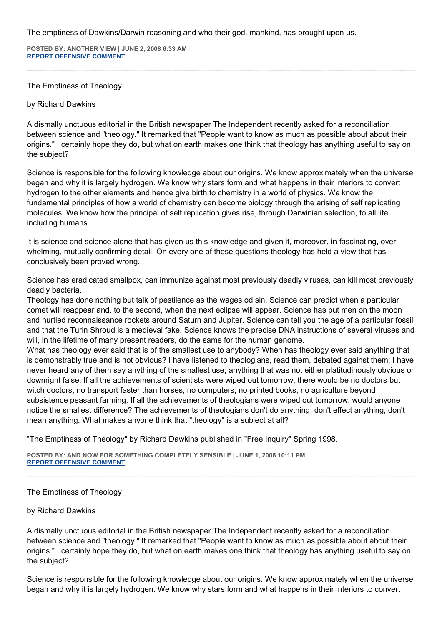The emptiness of Dawkins/Darwin reasoning and who their god, mankind, has brought upon us.

**POSTED BY: ANOTHER VIEW | JUNE 2, 2008 6:33 AM [REPORT OFFENSIVE COMMENT](mailto:blogs@washingtonpost.com?subject=On%20Faith%20Panelists%20Blog%20%20%7C%20%20Another%20view%20%20%7C%20%20Greed%20is%20the%20Sickness%20of%20Runaway%20Wanting.%20%20%7C%20%203681861&body=%0D%0D%0D%0D%0D================%0D?__mode=view%26_type=comment%26id=3681861%26blog_id=618)**

The Emptiness of Theology

## by Richard Dawkins

A dismally unctuous editorial in the British newspaper The Independent recently asked for a reconciliation between science and "theology." It remarked that "People want to know as much as possible about about their origins." I certainly hope they do, but what on earth makes one think that theology has anything useful to say on the subject?

Science is responsible for the following knowledge about our origins. We know approximately when the universe began and why it is largely hydrogen. We know why stars form and what happens in their interiors to convert hydrogen to the other elements and hence give birth to chemistry in a world of physics. We know the fundamental principles of how a world of chemistry can become biology through the arising of self replicating molecules. We know how the principal of self replication gives rise, through Darwinian selection, to all life, including humans.

It is science and science alone that has given us this knowledge and given it, moreover, in fascinating, overwhelming, mutually confirming detail. On every one of these questions theology has held a view that has conclusively been proved wrong.

Science has eradicated smallpox, can immunize against most previously deadly viruses, can kill most previously deadly bacteria.

Theology has done nothing but talk of pestilence as the wages od sin. Science can predict when a particular comet will reappear and, to the second, when the next eclipse will appear. Science has put men on the moon and hurtled reconnaissance rockets around Saturn and Jupiter. Science can tell you the age of a particular fossil and that the Turin Shroud is a medieval fake. Science knows the precise DNA instructions of several viruses and will, in the lifetime of many present readers, do the same for the human genome.

What has theology ever said that is of the smallest use to anybody? When has theology ever said anything that is demonstrably true and is not obvious? I have listened to theologians, read them, debated against them; I have never heard any of them say anything of the smallest use; anything that was not either platitudinously obvious or downright false. If all the achievements of scientists were wiped out tomorrow, there would be no doctors but witch doctors, no transport faster than horses, no computers, no printed books, no agriculture beyond subsistence peasant farming. If all the achievements of theologians were wiped out tomorrow, would anyone notice the smallest difference? The achievements of theologians don't do anything, don't effect anything, don't mean anything. What makes anyone think that "theology" is a subject at all?

"The Emptiness of Theology" by Richard Dawkins published in "Free Inquiry" Spring 1998.

**POSTED BY: AND NOW FOR SOMETHING COMPLETELY SENSIBLE | JUNE 1, 2008 10:11 PM [REPORT OFFENSIVE COMMENT](mailto:blogs@washingtonpost.com?subject=On%20Faith%20Panelists%20Blog%20%20%7C%20%20and%20now%20for%20something%20completely%20sensible%20%20%7C%20%20Greed%20is%20the%20Sickness%20of%20Runaway%20Wanting.%20%20%7C%20%203677738&body=%0D%0D%0D%0D%0D================%0D?__mode=view%26_type=comment%26id=3677738%26blog_id=618)**

The Emptiness of Theology

by Richard Dawkins

A dismally unctuous editorial in the British newspaper The Independent recently asked for a reconciliation between science and "theology." It remarked that "People want to know as much as possible about about their origins." I certainly hope they do, but what on earth makes one think that theology has anything useful to say on the subject?

Science is responsible for the following knowledge about our origins. We know approximately when the universe began and why it is largely hydrogen. We know why stars form and what happens in their interiors to convert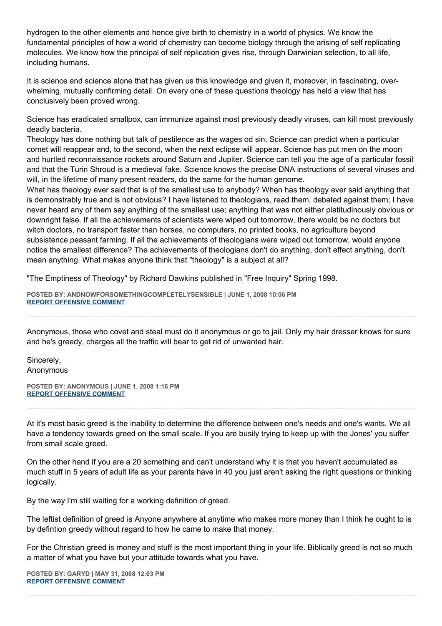hydrogen to the other elements and hence give birth to chemistry in a world of physics. We know the fundamental principles of how a world of chemistry can become biology through the arising of self replicating molecules. We know how the principal of self replication gives rise, through Darwinian selection, to all life, including humans.

It is science and science alone that has given us this knowledge and given it, moreover, in fascinating, overwhelming, mutually confirming detail. On every one of these questions theology has held a view that has conclusively been proved wrong.

Science has eradicated smallpox, can immunize against most previously deadly viruses, can kill most previously deadly bacteria.

Theology has done nothing but talk of pestilence as the wages od sin. Science can predict when a particular comet will reappear and, to the second, when the next eclipse will appear. Science has put men on the moon and hurtled reconnaissance rockets around Saturn and Jupiter. Science can tell you the age of a particular fossil and that the Turin Shroud is a medieval fake. Science knows the precise DNA instructions of several viruses and will, in the lifetime of many present readers, do the same for the human genome.

What has theology ever said that is of the smallest use to anybody? When has theology ever said anything that is demonstrably true and is not obvious? I have listened to theologians, read them, debated against them; I have never heard any of them say anything of the smallest use; anything that was not either platitudinously obvious or downright false. If all the achievements of scientists were wiped out tomorrow, there would be no doctors but witch doctors, no transport faster than horses, no computers, no printed books, no agriculture beyond subsistence peasant farming. If all the achievements of theologians were wiped out tomorrow, would anyone notice the smallest difference? The achievements of theologians don't do anything, don't effect anything, don't mean anything. What makes anyone think that "theology" is a subject at all?

"The Emptiness of Theology" by Richard Dawkins published in "Free Inquiry" Spring 1998.

**POSTED BY: ANDNOWFORSOMETHINGCOMPLETELYSENSIBLE | JUNE 1, 2008 10:06 PM [REPORT OFFENSIVE COMMENT](mailto:blogs@washingtonpost.com?subject=On%20Faith%20Panelists%20Blog%20%20%7C%20%20andnowforsomethingcompletelysensible%20%20%7C%20%20Greed%20is%20the%20Sickness%20of%20Runaway%20Wanting.%20%20%7C%20%203677667&body=%0D%0D%0D%0D%0D================%0D?__mode=view%26_type=comment%26id=3677667%26blog_id=618)**

Anonymous, those who covet and steal must do it anonymous or go to jail. Only my hair dresser knows for sure and he's greedy, charges all the traffic will bear to get rid of unwanted hair.

Sincerely, Anonymous

**POSTED BY: ANONYMOUS | JUNE 1, 2008 1:16 PM [REPORT OFFENSIVE COMMENT](mailto:blogs@washingtonpost.com?subject=On%20Faith%20Panelists%20Blog%20%20%7C%20%20Anonymous%20%20%7C%20%20Greed%20is%20the%20Sickness%20of%20Runaway%20Wanting.%20%20%7C%20%203672862&body=%0D%0D%0D%0D%0D================%0D?__mode=view%26_type=comment%26id=3672862%26blog_id=618)**

At it's most basic greed is the inability to determine the difference between one's needs and one's wants. We all have a tendency towards greed on the small scale. If you are busily trying to keep up with the Jones' you suffer from small scale greed.

On the other hand if you are a 20 something and can't understand why it is that you haven't accumulated as much stuff in 5 years of adult life as your parents have in 40 you just aren't asking the right questions or thinking logically.

By the way I'm still waiting for a working definition of greed.

The leftist definition of greed is Anyone anywhere at anytime who makes more money than I think he ought to is by defintion greedy without regard to how he came to make that money.

For the Christian greed is money and stuff is the most important thing in your life. Biblically greed is not so much a matter of what you have but your attitude towards what you have.

**POSTED BY: GARYD | MAY 31, 2008 12:03 PM [REPORT OFFENSIVE COMMENT](mailto:blogs@washingtonpost.com?subject=On%20Faith%20Panelists%20Blog%20%20%7C%20%20garyd%20%20%7C%20%20Greed%20is%20the%20Sickness%20of%20Runaway%20Wanting.%20%20%7C%20%203661826&body=%0D%0D%0D%0D%0D================%0D?__mode=view%26_type=comment%26id=3661826%26blog_id=618)**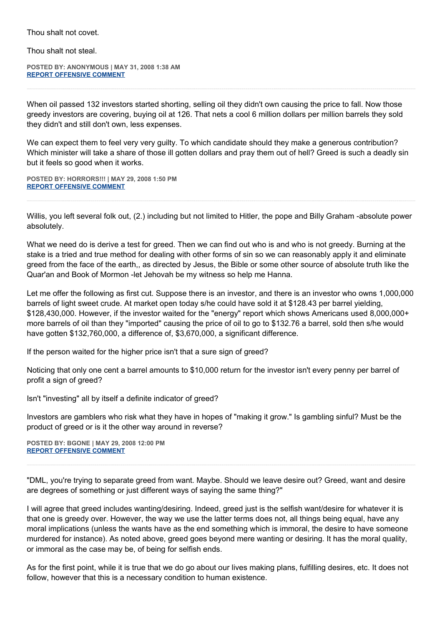Thou shalt not covet.

Thou shalt not steal.

**POSTED BY: ANONYMOUS | MAY 31, 2008 1:38 AM [REPORT OFFENSIVE COMMENT](mailto:blogs@washingtonpost.com?subject=On%20Faith%20Panelists%20Blog%20%20%7C%20%20Anonymous%20%20%7C%20%20Greed%20is%20the%20Sickness%20of%20Runaway%20Wanting.%20%20%7C%20%203656887&body=%0D%0D%0D%0D%0D================%0D?__mode=view%26_type=comment%26id=3656887%26blog_id=618)**

When oil passed 132 investors started shorting, selling oil they didn't own causing the price to fall. Now those greedy investors are covering, buying oil at 126. That nets a cool 6 million dollars per million barrels they sold they didn't and still don't own, less expenses.

We can expect them to feel very very guilty. To which candidate should they make a generous contribution? Which minister will take a share of those ill gotten dollars and pray them out of hell? Greed is such a deadly sin but it feels so good when it works.

**POSTED BY: HORRORS!!! | MAY 29, 2008 1:50 PM [REPORT OFFENSIVE COMMENT](mailto:blogs@washingtonpost.com?subject=On%20Faith%20Panelists%20Blog%20%20%7C%20%20Horrors!!!%20%20%7C%20%20Greed%20is%20the%20Sickness%20of%20Runaway%20Wanting.%20%20%7C%20%203640544&body=%0D%0D%0D%0D%0D================%0D?__mode=view%26_type=comment%26id=3640544%26blog_id=618)**

Willis, you left several folk out, (2.) including but not limited to Hitler, the pope and Billy Graham -absolute power absolutely.

What we need do is derive a test for greed. Then we can find out who is and who is not greedy. Burning at the stake is a tried and true method for dealing with other forms of sin so we can reasonably apply it and eliminate greed from the face of the earth,, as directed by Jesus, the Bible or some other source of absolute truth like the Quar'an and Book of Mormon -let Jehovah be my witness so help me Hanna.

Let me offer the following as first cut. Suppose there is an investor, and there is an investor who owns 1,000,000 barrels of light sweet crude. At market open today s/he could have sold it at \$128.43 per barrel yielding, \$128,430,000. However, if the investor waited for the "energy" report which shows Americans used 8,000,000+ more barrels of oil than they "imported" causing the price of oil to go to \$132.76 a barrel, sold then s/he would have gotten \$132,760,000, a difference of, \$3,670,000, a significant difference.

If the person waited for the higher price isn't that a sure sign of greed?

Noticing that only one cent a barrel amounts to \$10,000 return for the investor isn't every penny per barrel of profit a sign of greed?

Isn't "investing" all by itself a definite indicator of greed?

Investors are gamblers who risk what they have in hopes of "making it grow." Is gambling sinful? Must be the product of greed or is it the other way around in reverse?

**POSTED BY: BGONE | MAY 29, 2008 12:00 PM [REPORT OFFENSIVE COMMENT](mailto:blogs@washingtonpost.com?subject=On%20Faith%20Panelists%20Blog%20%20%7C%20%20BGone%20%20%7C%20%20Greed%20is%20the%20Sickness%20of%20Runaway%20Wanting.%20%20%7C%20%203639891&body=%0D%0D%0D%0D%0D================%0D?__mode=view%26_type=comment%26id=3639891%26blog_id=618)**

"DML, you're trying to separate greed from want. Maybe. Should we leave desire out? Greed, want and desire are degrees of something or just different ways of saying the same thing?"

I will agree that greed includes wanting/desiring. Indeed, greed just is the selfish want/desire for whatever it is that one is greedy over. However, the way we use the latter terms does not, all things being equal, have any moral implications (unless the wants have as the end something which is immoral, the desire to have someone murdered for instance). As noted above, greed goes beyond mere wanting or desiring. It has the moral quality, or immoral as the case may be, of being for selfish ends.

As for the first point, while it is true that we do go about our lives making plans, fulfilling desires, etc. It does not follow, however that this is a necessary condition to human existence.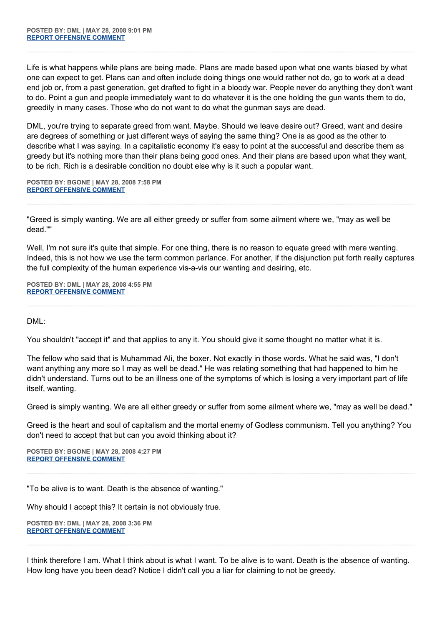Life is what happens while plans are being made. Plans are made based upon what one wants biased by what one can expect to get. Plans can and often include doing things one would rather not do, go to work at a dead end job or, from a past generation, get drafted to fight in a bloody war. People never do anything they don't want to do. Point a gun and people immediately want to do whatever it is the one holding the gun wants them to do, greedily in many cases. Those who do not want to do what the gunman says are dead.

DML, you're trying to separate greed from want. Maybe. Should we leave desire out? Greed, want and desire are degrees of something or just different ways of saying the same thing? One is as good as the other to describe what I was saying. In a capitalistic economy it's easy to point at the successful and describe them as greedy but it's nothing more than their plans being good ones. And their plans are based upon what they want, to be rich. Rich is a desirable condition no doubt else why is it such a popular want.

**POSTED BY: BGONE | MAY 28, 2008 7:58 PM [REPORT OFFENSIVE COMMENT](mailto:blogs@washingtonpost.com?subject=On%20Faith%20Panelists%20Blog%20%20%7C%20%20BGone%20%20%7C%20%20Greed%20is%20the%20Sickness%20of%20Runaway%20Wanting.%20%20%7C%20%203633308&body=%0D%0D%0D%0D%0D================%0D?__mode=view%26_type=comment%26id=3633308%26blog_id=618)**

"Greed is simply wanting. We are all either greedy or suffer from some ailment where we, "may as well be dead.""

Well, I'm not sure it's quite that simple. For one thing, there is no reason to equate greed with mere wanting. Indeed, this is not how we use the term common parlance. For another, if the disjunction put forth really captures the full complexity of the human experience vis-a-vis our wanting and desiring, etc.

**POSTED BY: DML | MAY 28, 2008 4:55 PM [REPORT OFFENSIVE COMMENT](mailto:blogs@washingtonpost.com?subject=On%20Faith%20Panelists%20Blog%20%20%7C%20%20DML%20%20%7C%20%20Greed%20is%20the%20Sickness%20of%20Runaway%20Wanting.%20%20%7C%20%203631957&body=%0D%0D%0D%0D%0D================%0D?__mode=view%26_type=comment%26id=3631957%26blog_id=618)**

DML:

You shouldn't "accept it" and that applies to any it. You should give it some thought no matter what it is.

The fellow who said that is Muhammad Ali, the boxer. Not exactly in those words. What he said was, "I don't want anything any more so I may as well be dead." He was relating something that had happened to him he didn't understand. Turns out to be an illness one of the symptoms of which is losing a very important part of life itself, wanting.

Greed is simply wanting. We are all either greedy or suffer from some ailment where we, "may as well be dead."

Greed is the heart and soul of capitalism and the mortal enemy of Godless communism. Tell you anything? You don't need to accept that but can you avoid thinking about it?

**POSTED BY: BGONE | MAY 28, 2008 4:27 PM [REPORT OFFENSIVE COMMENT](mailto:blogs@washingtonpost.com?subject=On%20Faith%20Panelists%20Blog%20%20%7C%20%20BGone%20%20%7C%20%20Greed%20is%20the%20Sickness%20of%20Runaway%20Wanting.%20%20%7C%20%203631758&body=%0D%0D%0D%0D%0D================%0D?__mode=view%26_type=comment%26id=3631758%26blog_id=618)**

"To be alive is to want. Death is the absence of wanting."

Why should I accept this? It certain is not obviously true.

**POSTED BY: DML | MAY 28, 2008 3:36 PM [REPORT OFFENSIVE COMMENT](mailto:blogs@washingtonpost.com?subject=On%20Faith%20Panelists%20Blog%20%20%7C%20%20DML%20%20%7C%20%20Greed%20is%20the%20Sickness%20of%20Runaway%20Wanting.%20%20%7C%20%203631428&body=%0D%0D%0D%0D%0D================%0D?__mode=view%26_type=comment%26id=3631428%26blog_id=618)**

I think therefore I am. What I think about is what I want. To be alive is to want. Death is the absence of wanting. How long have you been dead? Notice I didn't call you a liar for claiming to not be greedy.